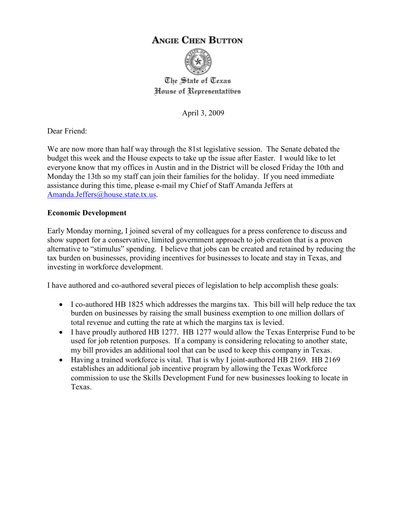# **ANGIE CHEN BUTTON**



The State of Texas House of Representatibes

April 3, 2009

Dear Friend:

We are now more than half way through the 81st legislative session. The Senate debated the budget this week and the House expects to take up the issue after Easter. I would like to let everyone know that my offices in Austin and in the District will be closed Friday the 10th and Monday the 13th so my staff can join their families for the holiday. If you need immediate assistance during this time, please e-mail my Chief of Staff Amanda Jeffers at Amanda.Jeffers@house.state.tx.us.

## **Economic Development**

Early Monday morning, I joined several of my colleagues for a press conference to discuss and show support for a conservative, limited government approach to job creation that is a proven alternative to "stimulus" spending. I believe that jobs can be created and retained by reducing the tax burden on businesses, providing incentives for businesses to locate and stay in Texas, and investing in workforce development.

I have authored and co-authored several pieces of legislation to help accomplish these goals:

- I co-authored HB 1825 which addresses the margins tax. This bill will help reduce the tax burden on businesses by raising the small business exemption to one million dollars of total revenue and cutting the rate at which the margins tax is levied.
- I have proudly authored HB 1277. HB 1277 would allow the Texas Enterprise Fund to be used for job retention purposes. If a company is considering relocating to another state, my bill provides an additional tool that can be used to keep this company in Texas.
- Having a trained workforce is vital. That is why I joint-authored HB 2169. HB 2169 establishes an additional job incentive program by allowing the Texas Workforce commission to use the Skills Development Fund for new businesses looking to locate in Texas.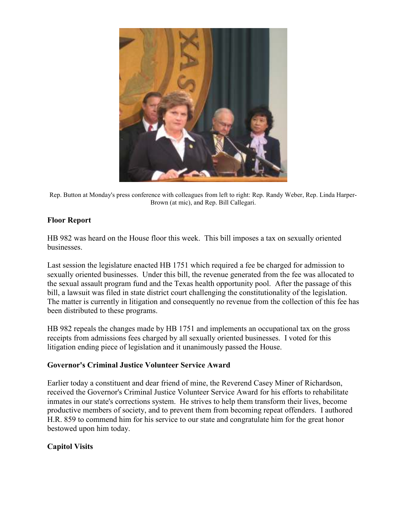

Rep. Button at Monday's press conference with colleagues from left to right: Rep. Randy Weber, Rep. Linda Harper-Brown (at mic), and Rep. Bill Callegari.

## **Floor Report**

HB 982 was heard on the House floor this week. This bill imposes a tax on sexually oriented businesses.

Last session the legislature enacted HB 1751 which required a fee be charged for admission to sexually oriented businesses. Under this bill, the revenue generated from the fee was allocated to the sexual assault program fund and the Texas health opportunity pool. After the passage of this bill, a lawsuit was filed in state district court challenging the constitutionality of the legislation. The matter is currently in litigation and consequently no revenue from the collection of this fee has been distributed to these programs.

HB 982 repeals the changes made by HB 1751 and implements an occupational tax on the gross receipts from admissions fees charged by all sexually oriented businesses. I voted for this litigation ending piece of legislation and it unanimously passed the House.

### **Governor's Criminal Justice Volunteer Service Award**

Earlier today a constituent and dear friend of mine, the Reverend Casey Miner of Richardson, received the Governor's Criminal Justice Volunteer Service Award for his efforts to rehabilitate inmates in our state's corrections system. He strives to help them transform their lives, become productive members of society, and to prevent them from becoming repeat offenders. I authored H.R. 859 to commend him for his service to our state and congratulate him for the great honor bestowed upon him today.

## **Capitol Visits**